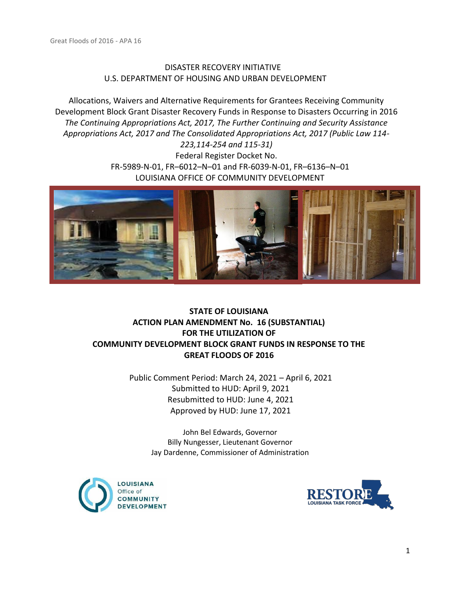## DISASTER RECOVERY INITIATIVE U.S. DEPARTMENT OF HOUSING AND URBAN DEVELOPMENT

Allocations, Waivers and Alternative Requirements for Grantees Receiving Community Development Block Grant Disaster Recovery Funds in Response to Disasters Occurring in 2016 *The Continuing Appropriations Act, 2017, The Further Continuing and Security Assistance Appropriations Act, 2017 and The Consolidated Appropriations Act, 2017 (Public Law 114- 223,114-254 and 115-31)*

Federal Register Docket No. FR-5989-N-01, FR–6012–N–01 and FR-6039-N-01, FR–6136–N–01 LOUISIANA OFFICE OF COMMUNITY DEVELOPMENT



## **STATE OF LOUISIANA ACTION PLAN AMENDMENT No. 16 (SUBSTANTIAL) FOR THE UTILIZATION OF COMMUNITY DEVELOPMENT BLOCK GRANT FUNDS IN RESPONSE TO THE GREAT FLOODS OF 2016**

Public Comment Period: March 24, 2021 – April 6, 2021 Submitted to HUD: April 9, 2021 Resubmitted to HUD: June 4, 2021 Approved by HUD: June 17, 2021

> John Bel Edwards, Governor Billy Nungesser, Lieutenant Governor Jay Dardenne, Commissioner of Administration



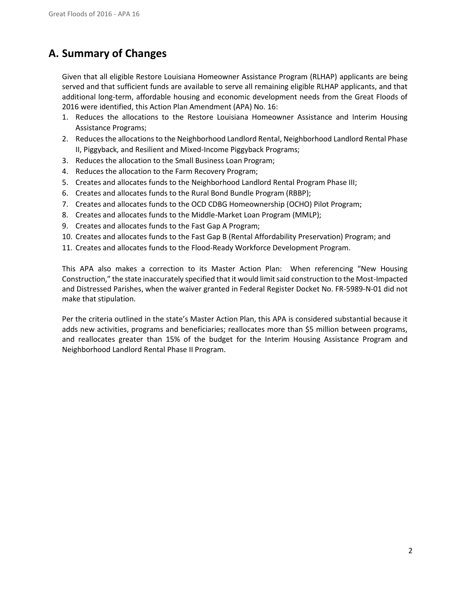# **A. Summary of Changes**

Given that all eligible Restore Louisiana Homeowner Assistance Program (RLHAP) applicants are being served and that sufficient funds are available to serve all remaining eligible RLHAP applicants, and that additional long-term, affordable housing and economic development needs from the Great Floods of 2016 were identified, this Action Plan Amendment (APA) No. 16:

- 1. Reduces the allocations to the Restore Louisiana Homeowner Assistance and Interim Housing Assistance Programs;
- 2. Reduces the allocations to the Neighborhood Landlord Rental, Neighborhood Landlord Rental Phase II, Piggyback, and Resilient and Mixed-Income Piggyback Programs;
- 3. Reduces the allocation to the Small Business Loan Program;
- 4. Reduces the allocation to the Farm Recovery Program;
- 5. Creates and allocates funds to the Neighborhood Landlord Rental Program Phase III;
- 6. Creates and allocates funds to the Rural Bond Bundle Program (RBBP);
- 7. Creates and allocates funds to the OCD CDBG Homeownership (OCHO) Pilot Program;
- 8. Creates and allocates funds to the Middle-Market Loan Program (MMLP);
- 9. Creates and allocates funds to the Fast Gap A Program;
- 10. Creates and allocates funds to the Fast Gap B (Rental Affordability Preservation) Program; and
- 11. Creates and allocates funds to the Flood-Ready Workforce Development Program.

This APA also makes a correction to its Master Action Plan: When referencing "New Housing Construction," the state inaccurately specified that it would limit said construction to the Most-Impacted and Distressed Parishes, when the waiver granted in Federal Register Docket No. FR-5989-N-01 did not make that stipulation.

Per the criteria outlined in the state's Master Action Plan, this APA is considered substantial because it adds new activities, programs and beneficiaries; reallocates more than \$5 million between programs, and reallocates greater than 15% of the budget for the Interim Housing Assistance Program and Neighborhood Landlord Rental Phase II Program.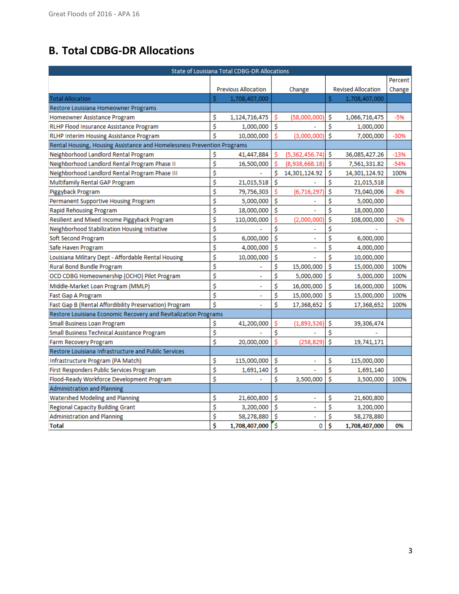# **B. Total CDBG-DR Allocations**

| <b>State of Louisiana Total CDBG-DR Allocations</b>                     |                  |                            |    |                |    |                           |         |
|-------------------------------------------------------------------------|------------------|----------------------------|----|----------------|----|---------------------------|---------|
|                                                                         |                  |                            |    |                |    |                           | Percent |
|                                                                         |                  | <b>Previous Allocation</b> |    | Change         |    | <b>Revised Allocation</b> | Change  |
| <b>Total Allocation</b>                                                 | Ś                | 1,708,407,000              |    |                | Ś  | 1,708,407,000             |         |
| Restore Louisiana Homeowner Programs                                    |                  |                            |    |                |    |                           |         |
| Homeowner Assistance Program                                            | \$               | 1,124,716,475              | Ś  | (58,000,000)   | \$ | 1,066,716,475             | $-5%$   |
| RLHP Flood Insurance Assistance Program                                 | \$               | 1,000,000                  | Ś  |                | \$ | 1,000,000                 |         |
| RLHP Interim Housing Assistance Program                                 | Ś                | 10,000,000                 | Ś  | (3,000,000)    | Ś  | 7,000,000                 | $-30%$  |
| Rental Housing, Housing Assistance and Homelessness Prevention Programs |                  |                            |    |                |    |                           |         |
| Neighborhood Landlord Rental Program                                    | \$               | 41,447,884                 | S  | (5,362,456.74) | Ś  | 36,085,427.26             | $-13%$  |
| Neighborhood Landlord Rental Program Phase II                           | \$               | 16,500,000                 | Ś  | (8,938,668.18) | Ś  | 7,561,331.82              | $-54%$  |
| Neighborhood Landlord Rental Program Phase III                          | \$               |                            | Ś  | 14,301,124.92  | \$ | 14,301,124.92             | 100%    |
| Multifamily Rental GAP Program                                          | \$               | 21,015,518                 | Ś  |                | \$ | 21,015,518                |         |
| Piggyback Program                                                       | Ś                | 79,756,303                 | Ś  | (6, 716, 297)  | Ś  | 73,040,006                | $-8%$   |
| Permanent Supportive Housing Program                                    | \$               | 5,000,000                  | \$ |                | \$ | 5,000,000                 |         |
| <b>Rapid Rehousing Program</b>                                          | \$               | 18,000,000                 | \$ |                | \$ | 18,000,000                |         |
| Resilient and Mixed Income Piggyback Program                            | \$               | 110,000,000                | \$ | (2,000,000)    | \$ | 108,000,000               | $-2%$   |
| Neighborhood Stabilization Housing Initiative                           |                  |                            | Ś  |                | \$ |                           |         |
| Soft Second Program                                                     | \$               | 6,000,000                  | \$ | ÷,             | \$ | 6,000,000                 |         |
| Safe Haven Program                                                      | \$               | 4,000,000                  | \$ | ÷,             | Ś  | 4,000,000                 |         |
| Louisiana Military Dept - Affordable Rental Housing                     | \$               | 10,000,000                 | \$ |                | Ś  | 10,000,000                |         |
| <b>Rural Bond Bundle Program</b>                                        | \$               |                            | \$ | 15,000,000     | \$ | 15,000,000                | 100%    |
| OCD CDBG Homeownership (OCHO) Pilot Program                             | \$               |                            | Ś  | 5,000,000      | Ś  | 5,000,000                 | 100%    |
| Middle-Market Loan Program (MMLP)                                       | \$               | ۰                          | \$ | 16,000,000     | \$ | 16,000,000                | 100%    |
| Fast Gap A Program                                                      | \$               |                            | \$ | 15,000,000     | Ś  | 15,000,000                | 100%    |
| Fast Gap B (Rental Affordibility Preservation) Program                  | \$               |                            | \$ | 17,368,652     | \$ | 17,368,652                | 100%    |
| Restore Louisiana Economic Recovery and Revitalization Programs         |                  |                            |    |                |    |                           |         |
| <b>Small Business Loan Program</b>                                      | \$               | 41,200,000                 | Ś  | (1,893,526)    | \$ | 39,306,474                |         |
| Small Business Technical Assistance Program                             | Ś                |                            | Ś  |                | Ś  |                           |         |
| Farm Recovery Program                                                   | \$               | 20,000,000                 | Ś  | (258, 829)     | Ś  | 19,741,171                |         |
| Restore Louisiana Infrastructure and Public Services                    |                  |                            |    |                |    |                           |         |
| Infrastructure Program (PA Match)                                       | \$               | 115,000,000                | Ś  |                | \$ | 115,000,000               |         |
| First Responders Public Services Program                                | \$               | 1,691,140                  | Ś  |                | Ś  | 1,691,140                 |         |
| \$<br>Flood-Ready Workforce Development Program                         |                  |                            | Ś  | 3,500,000      | Ś  | 3,500,000                 | 100%    |
| <b>Administration and Planning</b>                                      |                  |                            |    |                |    |                           |         |
| Watershed Modeling and Planning                                         | \$               | 21,600,800                 | \$ | ÷              | \$ | 21,600,800                |         |
| <b>Regional Capacity Building Grant</b>                                 | Ś                | 3,200,000                  | Ś  |                | \$ | 3,200,000                 |         |
| <b>Administration and Planning</b>                                      | \$<br>58,278,880 |                            | \$ | ÷,             | \$ | 58,278,880                |         |
| <b>Total</b>                                                            | \$               | 1,708,407,000              | ś  | 0              | \$ | 1,708,407,000             | 0%      |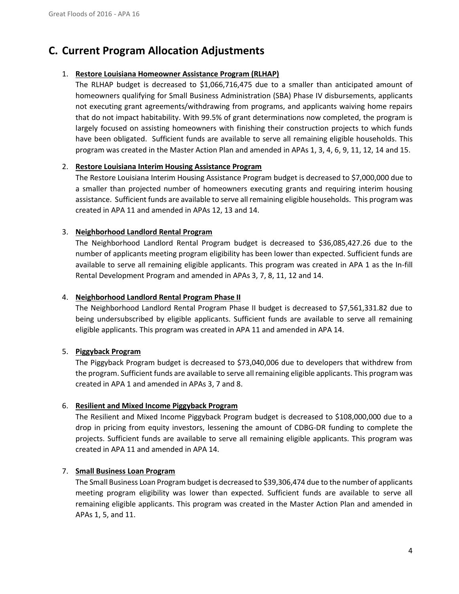# **C. Current Program Allocation Adjustments**

## 1. **Restore Louisiana Homeowner Assistance Program (RLHAP)**

The RLHAP budget is decreased to \$1,066,716,475 due to a smaller than anticipated amount of homeowners qualifying for Small Business Administration (SBA) Phase IV disbursements, applicants not executing grant agreements/withdrawing from programs, and applicants waiving home repairs that do not impact habitability. With 99.5% of grant determinations now completed, the program is largely focused on assisting homeowners with finishing their construction projects to which funds have been obligated. Sufficient funds are available to serve all remaining eligible households. This program was created in the Master Action Plan and amended in APAs 1, 3, 4, 6, 9, 11, 12, 14 and 15.

## 2. **Restore Louisiana Interim Housing Assistance Program**

The Restore Louisiana Interim Housing Assistance Program budget is decreased to \$7,000,000 due to a smaller than projected number of homeowners executing grants and requiring interim housing assistance. Sufficient funds are available to serve all remaining eligible households. This program was created in APA 11 and amended in APAs 12, 13 and 14.

## 3. **Neighborhood Landlord Rental Program**

The Neighborhood Landlord Rental Program budget is decreased to \$36,085,427.26 due to the number of applicants meeting program eligibility has been lower than expected. Sufficient funds are available to serve all remaining eligible applicants. This program was created in APA 1 as the In-fill Rental Development Program and amended in APAs 3, 7, 8, 11, 12 and 14.

## 4. **Neighborhood Landlord Rental Program Phase II**

The Neighborhood Landlord Rental Program Phase II budget is decreased to \$7,561,331.82 due to being undersubscribed by eligible applicants. Sufficient funds are available to serve all remaining eligible applicants. This program was created in APA 11 and amended in APA 14.

## 5. **Piggyback Program**

The Piggyback Program budget is decreased to \$73,040,006 due to developers that withdrew from the program. Sufficient funds are available to serve all remaining eligible applicants. This program was created in APA 1 and amended in APAs 3, 7 and 8.

## 6. **Resilient and Mixed Income Piggyback Program**

The Resilient and Mixed Income Piggyback Program budget is decreased to \$108,000,000 due to a drop in pricing from equity investors, lessening the amount of CDBG-DR funding to complete the projects. Sufficient funds are available to serve all remaining eligible applicants. This program was created in APA 11 and amended in APA 14.

## 7. **Small Business Loan Program**

The Small Business Loan Program budget is decreased to \$39,306,474 due to the number of applicants meeting program eligibility was lower than expected. Sufficient funds are available to serve all remaining eligible applicants. This program was created in the Master Action Plan and amended in APAs 1, 5, and 11.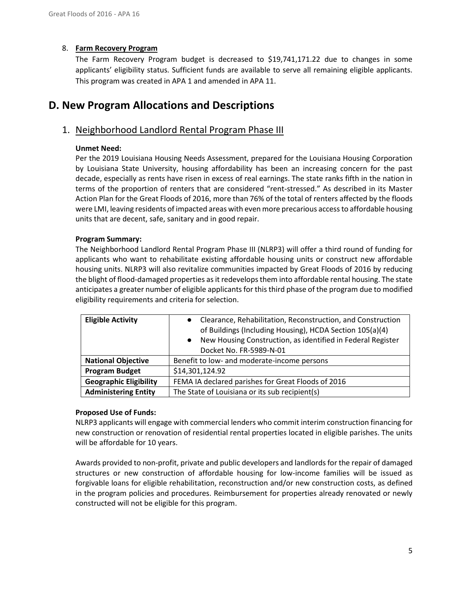## 8. **Farm Recovery Program**

The Farm Recovery Program budget is decreased to \$19,741,171.22 due to changes in some applicants' eligibility status. Sufficient funds are available to serve all remaining eligible applicants. This program was created in APA 1 and amended in APA 11.

## **D. New Program Allocations and Descriptions**

## 1. Neighborhood Landlord Rental Program Phase III

## **Unmet Need:**

Per the 2019 Louisiana Housing Needs Assessment, prepared for the Louisiana Housing Corporation by Louisiana State University, housing affordability has been an increasing concern for the past decade, especially as rents have risen in excess of real earnings. The state ranks fifth in the nation in terms of the proportion of renters that are considered "rent-stressed." As described in its Master Action Plan for the Great Floods of 2016, more than 76% of the total of renters affected by the floods were LMI, leaving residents of impacted areas with even more precarious access to affordable housing units that are decent, safe, sanitary and in good repair.

## **Program Summary:**

The Neighborhood Landlord Rental Program Phase III (NLRP3) will offer a third round of funding for applicants who want to rehabilitate existing affordable housing units or construct new affordable housing units. NLRP3 will also revitalize communities impacted by Great Floods of 2016 by reducing the blight of flood-damaged properties as it redevelops them into affordable rental housing. The state anticipates a greater number of eligible applicants for this third phase of the program due to modified eligibility requirements and criteria for selection.

| <b>Eligible Activity</b>      | Clearance, Rehabilitation, Reconstruction, and Construction<br>$\bullet$<br>of Buildings (Including Housing), HCDA Section 105(a)(4)<br>New Housing Construction, as identified in Federal Register<br>$\bullet$<br>Docket No. FR-5989-N-01 |
|-------------------------------|---------------------------------------------------------------------------------------------------------------------------------------------------------------------------------------------------------------------------------------------|
| <b>National Objective</b>     | Benefit to low- and moderate-income persons                                                                                                                                                                                                 |
| <b>Program Budget</b>         | \$14,301,124.92                                                                                                                                                                                                                             |
| <b>Geographic Eligibility</b> | FEMA IA declared parishes for Great Floods of 2016                                                                                                                                                                                          |
| <b>Administering Entity</b>   | The State of Louisiana or its sub recipient(s)                                                                                                                                                                                              |

## **Proposed Use of Funds:**

NLRP3 applicants will engage with commercial lenders who commit interim construction financing for new construction or renovation of residential rental properties located in eligible parishes. The units will be affordable for 10 years.

Awards provided to non-profit, private and public developers and landlords for the repair of damaged structures or new construction of affordable housing for low-income families will be issued as forgivable loans for eligible rehabilitation, reconstruction and/or new construction costs, as defined in the program policies and procedures. Reimbursement for properties already renovated or newly constructed will not be eligible for this program.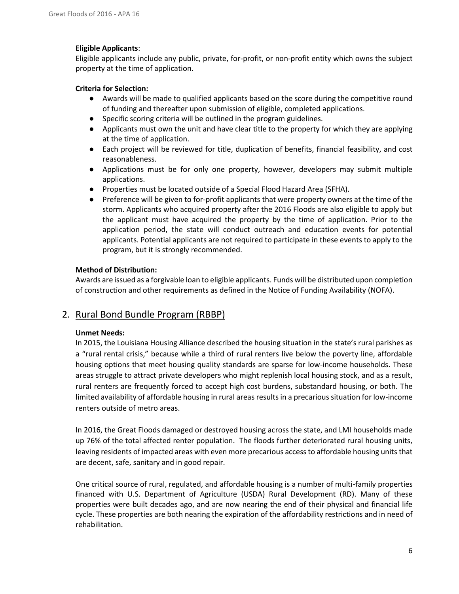## **Eligible Applicants**:

Eligible applicants include any public, private, for-profit, or non-profit entity which owns the subject property at the time of application.

## **Criteria for Selection:**

- Awards will be made to qualified applicants based on the score during the competitive round of funding and thereafter upon submission of eligible, completed applications.
- Specific scoring criteria will be outlined in the program guidelines.
- Applicants must own the unit and have clear title to the property for which they are applying at the time of application.
- Each project will be reviewed for title, duplication of benefits, financial feasibility, and cost reasonableness.
- Applications must be for only one property, however, developers may submit multiple applications.
- Properties must be located outside of a Special Flood Hazard Area (SFHA).
- Preference will be given to for-profit applicants that were property owners at the time of the storm. Applicants who acquired property after the 2016 Floods are also eligible to apply but the applicant must have acquired the property by the time of application. Prior to the application period, the state will conduct outreach and education events for potential applicants. Potential applicants are not required to participate in these events to apply to the program, but it is strongly recommended.

## **Method of Distribution:**

Awards are issued as a forgivable loan to eligible applicants. Funds will be distributed upon completion of construction and other requirements as defined in the Notice of Funding Availability (NOFA).

## 2. Rural Bond Bundle Program (RBBP)

## **Unmet Needs:**

In 2015, the Louisiana Housing Alliance described the housing situation in the state's rural parishes as a "rural rental crisis," because while a third of rural renters live below the poverty line, affordable housing options that meet housing quality standards are sparse for low-income households. These areas struggle to attract private developers who might replenish local housing stock, and as a result, rural renters are frequently forced to accept high cost burdens, substandard housing, or both. The limited availability of affordable housing in rural areas results in a precarious situation for low-income renters outside of metro areas.

In 2016, the Great Floods damaged or destroyed housing across the state, and LMI households made up 76% of the total affected renter population. The floods further deteriorated rural housing units, leaving residents of impacted areas with even more precarious access to affordable housing units that are decent, safe, sanitary and in good repair.

One critical source of rural, regulated, and affordable housing is a number of multi-family properties financed with U.S. Department of Agriculture (USDA) Rural Development (RD). Many of these properties were built decades ago, and are now nearing the end of their physical and financial life cycle. These properties are both nearing the expiration of the affordability restrictions and in need of rehabilitation.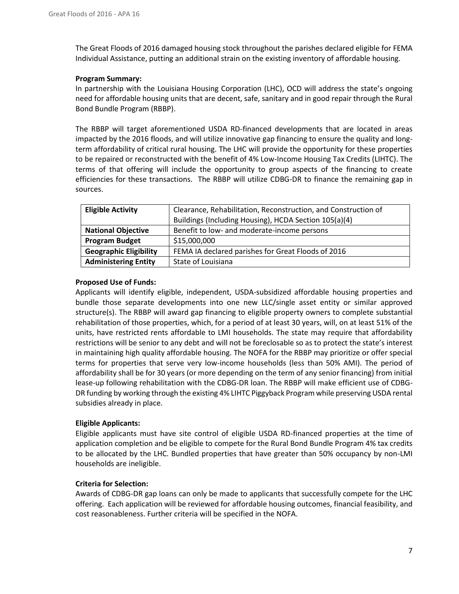The Great Floods of 2016 damaged housing stock throughout the parishes declared eligible for FEMA Individual Assistance, putting an additional strain on the existing inventory of affordable housing.

## **Program Summary:**

In partnership with the Louisiana Housing Corporation (LHC), OCD will address the state's ongoing need for affordable housing units that are decent, safe, sanitary and in good repair through the Rural Bond Bundle Program (RBBP).

The RBBP will target aforementioned USDA RD-financed developments that are located in areas impacted by the 2016 floods, and will utilize innovative gap financing to ensure the quality and longterm affordability of critical rural housing. The LHC will provide the opportunity for these properties to be repaired or reconstructed with the benefit of 4% Low-Income Housing Tax Credits (LIHTC). The terms of that offering will include the opportunity to group aspects of the financing to create efficiencies for these transactions. The RBBP will utilize CDBG-DR to finance the remaining gap in sources.

| <b>Eligible Activity</b>      | Clearance, Rehabilitation, Reconstruction, and Construction of |
|-------------------------------|----------------------------------------------------------------|
|                               | Buildings (Including Housing), HCDA Section 105(a)(4)          |
| <b>National Objective</b>     | Benefit to low- and moderate-income persons                    |
| <b>Program Budget</b>         | \$15,000,000                                                   |
| <b>Geographic Eligibility</b> | FEMA IA declared parishes for Great Floods of 2016             |
| <b>Administering Entity</b>   | State of Louisiana                                             |

## **Proposed Use of Funds:**

Applicants will identify eligible, independent, USDA-subsidized affordable housing properties and bundle those separate developments into one new LLC/single asset entity or similar approved structure(s). The RBBP will award gap financing to eligible property owners to complete substantial rehabilitation of those properties, which, for a period of at least 30 years, will, on at least 51% of the units, have restricted rents affordable to LMI households. The state may require that affordability restrictions will be senior to any debt and will not be foreclosable so as to protect the state's interest in maintaining high quality affordable housing. The NOFA for the RBBP may prioritize or offer special terms for properties that serve very low-income households (less than 50% AMI). The period of affordability shall be for 30 years (or more depending on the term of any senior financing) from initial lease-up following rehabilitation with the CDBG-DR loan. The RBBP will make efficient use of CDBG-DR funding by working through the existing 4% LIHTC Piggyback Program while preserving USDA rental subsidies already in place.

## **Eligible Applicants:**

Eligible applicants must have site control of eligible USDA RD-financed properties at the time of application completion and be eligible to compete for the Rural Bond Bundle Program 4% tax credits to be allocated by the LHC. Bundled properties that have greater than 50% occupancy by non-LMI households are ineligible.

## **Criteria for Selection:**

Awards of CDBG-DR gap loans can only be made to applicants that successfully compete for the LHC offering. Each application will be reviewed for affordable housing outcomes, financial feasibility, and cost reasonableness. Further criteria will be specified in the NOFA.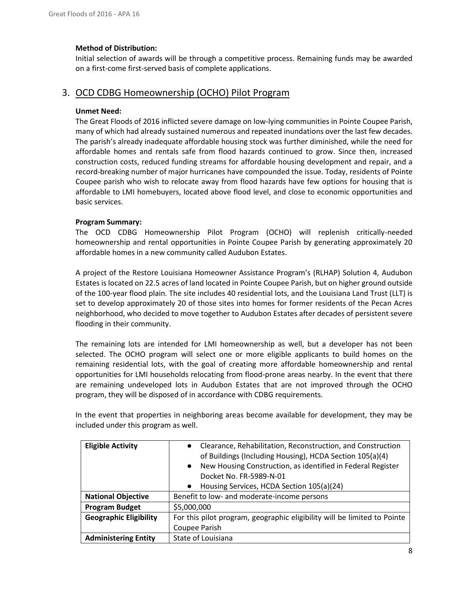## **Method of Distribution:**

Initial selection of awards will be through a competitive process. Remaining funds may be awarded on a first-come first-served basis of complete applications.

## 3. OCD CDBG Homeownership (OCHO) Pilot Program

## **Unmet Need:**

The Great Floods of 2016 inflicted severe damage on low-lying communities in Pointe Coupee Parish, many of which had already sustained numerous and repeated inundations over the last few decades. The parish's already inadequate affordable housing stock was further diminished, while the need for affordable homes and rentals safe from flood hazards continued to grow. Since then, increased construction costs, reduced funding streams for affordable housing development and repair, and a record-breaking number of major hurricanes have compounded the issue. Today, residents of Pointe Coupee parish who wish to relocate away from flood hazards have few options for housing that is affordable to LMI homebuyers, located above flood level, and close to economic opportunities and basic services.

#### **Program Summary:**

The OCD CDBG Homeownership Pilot Program (OCHO) will replenish critically-needed homeownership and rental opportunities in Pointe Coupee Parish by generating approximately 20 affordable homes in a new community called Audubon Estates.

A project of the Restore Louisiana Homeowner Assistance Program's (RLHAP) Solution 4, Audubon Estates is located on 22.5 acres of land located in Pointe Coupee Parish, but on higher ground outside of the 100-year flood plain. The site includes 40 residential lots, and the Louisiana Land Trust (LLT) is set to develop approximately 20 of those sites into homes for former residents of the Pecan Acres neighborhood, who decided to move together to Audubon Estates after decades of persistent severe flooding in their community.

The remaining lots are intended for LMI homeownership as well, but a developer has not been selected. The OCHO program will select one or more eligible applicants to build homes on the remaining residential lots, with the goal of creating more affordable homeownership and rental opportunities for LMI households relocating from flood-prone areas nearby. In the event that there are remaining undeveloped lots in Audubon Estates that are not improved through the OCHO program, they will be disposed of in accordance with CDBG requirements.

In the event that properties in neighboring areas become available for development, they may be included under this program as well.

| <b>Eligible Activity</b>      | Clearance, Rehabilitation, Reconstruction, and Construction              |
|-------------------------------|--------------------------------------------------------------------------|
|                               | of Buildings (Including Housing), HCDA Section 105(a)(4)                 |
|                               | New Housing Construction, as identified in Federal Register<br>$\bullet$ |
|                               | Docket No. FR-5989-N-01                                                  |
|                               | Housing Services, HCDA Section 105(a)(24)<br>$\bullet$                   |
| <b>National Objective</b>     | Benefit to low- and moderate-income persons                              |
| <b>Program Budget</b>         | \$5,000,000                                                              |
| <b>Geographic Eligibility</b> | For this pilot program, geographic eligibility will be limited to Pointe |
|                               | Coupee Parish                                                            |
| <b>Administering Entity</b>   | State of Louisiana                                                       |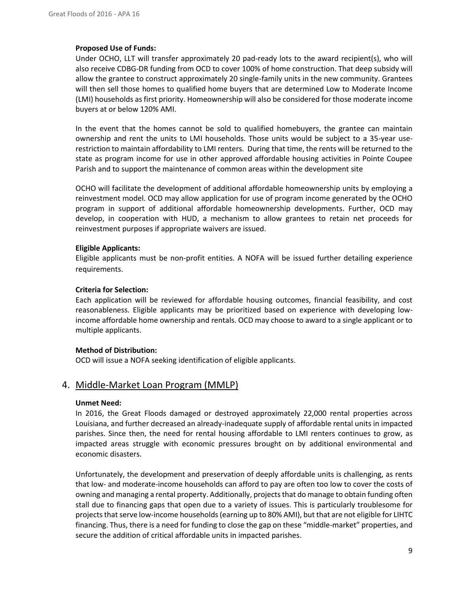#### **Proposed Use of Funds:**

Under OCHO, LLT will transfer approximately 20 pad-ready lots to the award recipient(s), who will also receive CDBG-DR funding from OCD to cover 100% of home construction. That deep subsidy will allow the grantee to construct approximately 20 single-family units in the new community. Grantees will then sell those homes to qualified home buyers that are determined Low to Moderate Income (LMI) households as first priority. Homeownership will also be considered for those moderate income buyers at or below 120% AMI.

In the event that the homes cannot be sold to qualified homebuyers, the grantee can maintain ownership and rent the units to LMI households. Those units would be subject to a 35-year userestriction to maintain affordability to LMI renters. During that time, the rents will be returned to the state as program income for use in other approved affordable housing activities in Pointe Coupee Parish and to support the maintenance of common areas within the development site

OCHO will facilitate the development of additional affordable homeownership units by employing a reinvestment model. OCD may allow application for use of program income generated by the OCHO program in support of additional affordable homeownership developments. Further, OCD may develop, in cooperation with HUD, a mechanism to allow grantees to retain net proceeds for reinvestment purposes if appropriate waivers are issued.

#### **Eligible Applicants:**

Eligible applicants must be non-profit entities. A NOFA will be issued further detailing experience requirements.

#### **Criteria for Selection:**

Each application will be reviewed for affordable housing outcomes, financial feasibility, and cost reasonableness. Eligible applicants may be prioritized based on experience with developing lowincome affordable home ownership and rentals. OCD may choose to award to a single applicant or to multiple applicants.

## **Method of Distribution:**

OCD will issue a NOFA seeking identification of eligible applicants.

## 4. Middle‐Market Loan Program (MMLP)

#### **Unmet Need:**

In 2016, the Great Floods damaged or destroyed approximately 22,000 rental properties across Louisiana, and further decreased an already-inadequate supply of affordable rental units in impacted parishes. Since then, the need for rental housing affordable to LMI renters continues to grow, as impacted areas struggle with economic pressures brought on by additional environmental and economic disasters.

Unfortunately, the development and preservation of deeply affordable units is challenging, as rents that low- and moderate-income households can afford to pay are often too low to cover the costs of owning and managing a rental property. Additionally, projects that do manage to obtain funding often stall due to financing gaps that open due to a variety of issues. This is particularly troublesome for projects that serve low-income households (earning up to 80% AMI), but that are not eligible for LIHTC financing. Thus, there is a need for funding to close the gap on these "middle-market" properties, and secure the addition of critical affordable units in impacted parishes.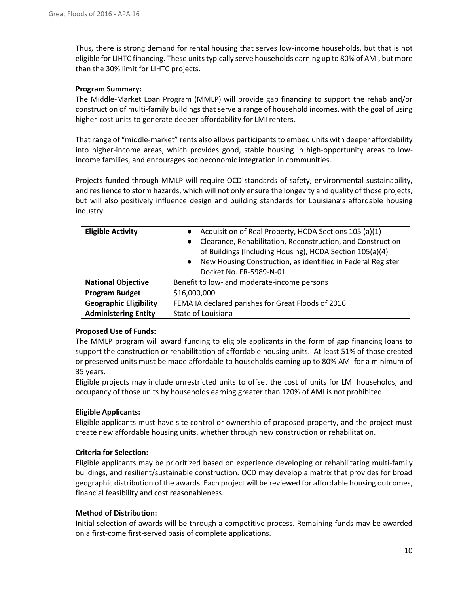Thus, there is strong demand for rental housing that serves low-income households, but that is not eligible for LIHTC financing. These units typically serve households earning up to 80% of AMI, but more than the 30% limit for LIHTC projects.

## **Program Summary:**

The Middle-Market Loan Program (MMLP) will provide gap financing to support the rehab and/or construction of multi-family buildings that serve a range of household incomes, with the goal of using higher-cost units to generate deeper affordability for LMI renters.

That range of "middle-market" rents also allows participants to embed units with deeper affordability into higher-income areas, which provides good, stable housing in high-opportunity areas to lowincome families, and encourages socioeconomic integration in communities.

Projects funded through MMLP will require OCD standards of safety, environmental sustainability, and resilience to storm hazards, which will not only ensure the longevity and quality of those projects, but will also positively influence design and building standards for Louisiana's affordable housing industry.

| <b>Eligible Activity</b>      | Acquisition of Real Property, HCDA Sections 105 (a)(1)                   |
|-------------------------------|--------------------------------------------------------------------------|
|                               | Clearance, Rehabilitation, Reconstruction, and Construction<br>$\bullet$ |
|                               | of Buildings (Including Housing), HCDA Section 105(a)(4)                 |
|                               | New Housing Construction, as identified in Federal Register<br>$\bullet$ |
|                               | Docket No. FR-5989-N-01                                                  |
| <b>National Objective</b>     | Benefit to low- and moderate-income persons                              |
| <b>Program Budget</b>         | \$16,000,000                                                             |
| <b>Geographic Eligibility</b> | FEMA IA declared parishes for Great Floods of 2016                       |
| <b>Administering Entity</b>   | State of Louisiana                                                       |

## **Proposed Use of Funds:**

The MMLP program will award funding to eligible applicants in the form of gap financing loans to support the construction or rehabilitation of affordable housing units. At least 51% of those created or preserved units must be made affordable to households earning up to 80% AMI for a minimum of 35 years.

Eligible projects may include unrestricted units to offset the cost of units for LMI households, and occupancy of those units by households earning greater than 120% of AMI is not prohibited.

## **Eligible Applicants:**

Eligible applicants must have site control or ownership of proposed property, and the project must create new affordable housing units, whether through new construction or rehabilitation.

## **Criteria for Selection:**

Eligible applicants may be prioritized based on experience developing or rehabilitating multi-family buildings, and resilient/sustainable construction. OCD may develop a matrix that provides for broad geographic distribution of the awards. Each project will be reviewed for affordable housing outcomes, financial feasibility and cost reasonableness.

## **Method of Distribution:**

Initial selection of awards will be through a competitive process. Remaining funds may be awarded on a first-come first-served basis of complete applications.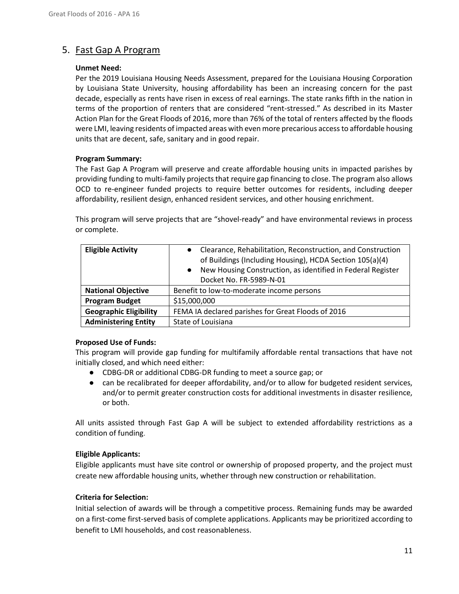## 5. Fast Gap A Program

## **Unmet Need:**

Per the 2019 Louisiana Housing Needs Assessment, prepared for the Louisiana Housing Corporation by Louisiana State University, housing affordability has been an increasing concern for the past decade, especially as rents have risen in excess of real earnings. The state ranks fifth in the nation in terms of the proportion of renters that are considered "rent-stressed." As described in its Master Action Plan for the Great Floods of 2016, more than 76% of the total of renters affected by the floods were LMI, leaving residents of impacted areas with even more precarious access to affordable housing units that are decent, safe, sanitary and in good repair.

## **Program Summary:**

The Fast Gap A Program will preserve and create affordable housing units in impacted parishes by providing funding to multi-family projects that require gap financing to close. The program also allows OCD to re-engineer funded projects to require better outcomes for residents, including deeper affordability, resilient design, enhanced resident services, and other housing enrichment.

This program will serve projects that are "shovel‐ready" and have environmental reviews in process or complete.

| <b>Eligible Activity</b>      | Clearance, Rehabilitation, Reconstruction, and Construction<br>of Buildings (Including Housing), HCDA Section 105(a)(4)<br>New Housing Construction, as identified in Federal Register<br>Docket No. FR-5989-N-01 |
|-------------------------------|-------------------------------------------------------------------------------------------------------------------------------------------------------------------------------------------------------------------|
| <b>National Objective</b>     | Benefit to low-to-moderate income persons                                                                                                                                                                         |
| <b>Program Budget</b>         | \$15,000,000                                                                                                                                                                                                      |
| <b>Geographic Eligibility</b> | FEMA IA declared parishes for Great Floods of 2016                                                                                                                                                                |
| <b>Administering Entity</b>   | State of Louisiana                                                                                                                                                                                                |

## **Proposed Use of Funds:**

This program will provide gap funding for multifamily affordable rental transactions that have not initially closed, and which need either:

- CDBG-DR or additional CDBG-DR funding to meet a source gap; or
- can be recalibrated for deeper affordability, and/or to allow for budgeted resident services, and/or to permit greater construction costs for additional investments in disaster resilience, or both.

All units assisted through Fast Gap A will be subject to extended affordability restrictions as a condition of funding.

## **Eligible Applicants:**

Eligible applicants must have site control or ownership of proposed property, and the project must create new affordable housing units, whether through new construction or rehabilitation.

## **Criteria for Selection:**

Initial selection of awards will be through a competitive process. Remaining funds may be awarded on a first-come first-served basis of complete applications. Applicants may be prioritized according to benefit to LMI households, and cost reasonableness.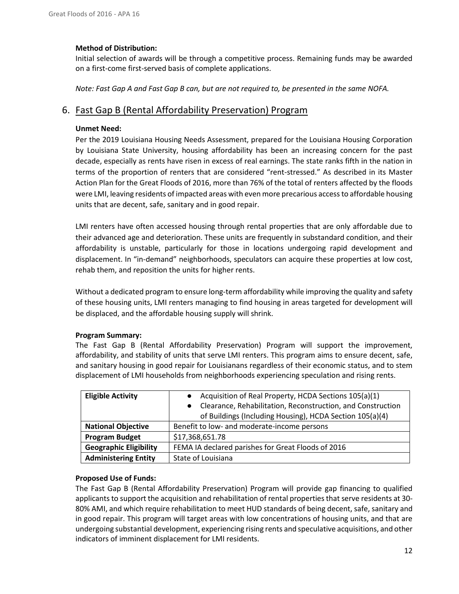## **Method of Distribution:**

Initial selection of awards will be through a competitive process. Remaining funds may be awarded on a first-come first-served basis of complete applications.

*Note: Fast Gap A and Fast Gap B can, but are not required to, be presented in the same NOFA.*

## 6. Fast Gap B (Rental Affordability Preservation) Program

## **Unmet Need:**

Per the 2019 Louisiana Housing Needs Assessment, prepared for the Louisiana Housing Corporation by Louisiana State University, housing affordability has been an increasing concern for the past decade, especially as rents have risen in excess of real earnings. The state ranks fifth in the nation in terms of the proportion of renters that are considered "rent-stressed." As described in its Master Action Plan for the Great Floods of 2016, more than 76% of the total of renters affected by the floods were LMI, leaving residents of impacted areas with even more precarious access to affordable housing units that are decent, safe, sanitary and in good repair.

LMI renters have often accessed housing through rental properties that are only affordable due to their advanced age and deterioration. These units are frequently in substandard condition, and their affordability is unstable, particularly for those in locations undergoing rapid development and displacement. In "in-demand" neighborhoods, speculators can acquire these properties at low cost, rehab them, and reposition the units for higher rents.

Without a dedicated program to ensure long-term affordability while improving the quality and safety of these housing units, LMI renters managing to find housing in areas targeted for development will be displaced, and the affordable housing supply will shrink.

## **Program Summary:**

The Fast Gap B (Rental Affordability Preservation) Program will support the improvement, affordability, and stability of units that serve LMI renters. This program aims to ensure decent, safe, and sanitary housing in good repair for Louisianans regardless of their economic status, and to stem displacement of LMI households from neighborhoods experiencing speculation and rising rents.

| <b>Eligible Activity</b>      | Acquisition of Real Property, HCDA Sections 105(a)(1)<br>Clearance, Rehabilitation, Reconstruction, and Construction<br>of Buildings (Including Housing), HCDA Section 105(a)(4) |
|-------------------------------|----------------------------------------------------------------------------------------------------------------------------------------------------------------------------------|
| <b>National Objective</b>     | Benefit to low- and moderate-income persons                                                                                                                                      |
| <b>Program Budget</b>         | \$17,368,651.78                                                                                                                                                                  |
| <b>Geographic Eligibility</b> | FEMA IA declared parishes for Great Floods of 2016                                                                                                                               |
| <b>Administering Entity</b>   | State of Louisiana                                                                                                                                                               |

## **Proposed Use of Funds:**

The Fast Gap B (Rental Affordability Preservation) Program will provide gap financing to qualified applicants to support the acquisition and rehabilitation of rental properties that serve residents at 30‐ 80% AMI, and which require rehabilitation to meet HUD standards of being decent, safe, sanitary and in good repair. This program will target areas with low concentrations of housing units, and that are undergoing substantial development, experiencing rising rents and speculative acquisitions, and other indicators of imminent displacement for LMI residents.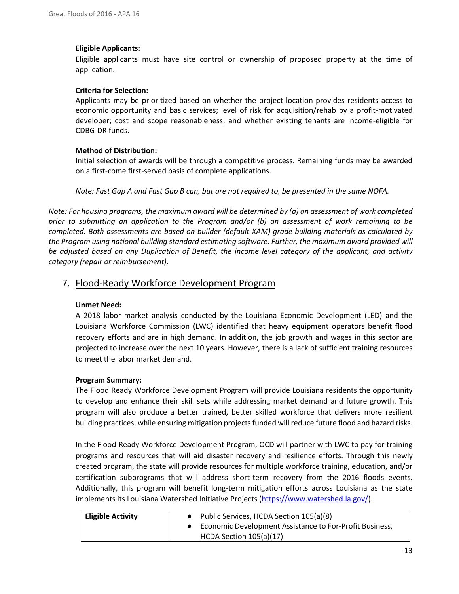## **Eligible Applicants**:

Eligible applicants must have site control or ownership of proposed property at the time of application.

## **Criteria for Selection:**

Applicants may be prioritized based on whether the project location provides residents access to economic opportunity and basic services; level of risk for acquisition/rehab by a profit-motivated developer; cost and scope reasonableness; and whether existing tenants are income-eligible for CDBG-DR funds.

## **Method of Distribution:**

Initial selection of awards will be through a competitive process. Remaining funds may be awarded on a first-come first-served basis of complete applications.

*Note: Fast Gap A and Fast Gap B can, but are not required to, be presented in the same NOFA.*

*Note: For housing programs, the maximum award will be determined by (a) an assessment of work completed prior to submitting an application to the Program and/or (b) an assessment of work remaining to be completed. Both assessments are based on builder (default XAM) grade building materials as calculated by the Program using national building standard estimating software. Further, the maximum award provided will be adjusted based on any Duplication of Benefit, the income level category of the applicant, and activity category (repair or reimbursement).*

## 7. Flood-Ready Workforce Development Program

## **Unmet Need:**

A 2018 labor market analysis conducted by the Louisiana Economic Development (LED) and the Louisiana Workforce Commission (LWC) identified that heavy equipment operators benefit flood recovery efforts and are in high demand. In addition, the job growth and wages in this sector are projected to increase over the next 10 years. However, there is a lack of sufficient training resources to meet the labor market demand.

## **Program Summary:**

The Flood Ready Workforce Development Program will provide Louisiana residents the opportunity to develop and enhance their skill sets while addressing market demand and future growth. This program will also produce a better trained, better skilled workforce that delivers more resilient building practices, while ensuring mitigation projects funded will reduce future flood and hazard risks.

In the Flood-Ready Workforce Development Program, OCD will partner with LWC to pay for training programs and resources that will aid disaster recovery and resilience efforts. Through this newly created program, the state will provide resources for multiple workforce training, education, and/or certification subprograms that will address short-term recovery from the 2016 floods events. Additionally, this program will benefit long-term mitigation efforts across Louisiana as the state implements its Louisiana Watershed Initiative Projects [\(https://www.watershed.la.gov/\)](https://www.watershed.la.gov/).

| <b>Eligible Activity</b> | Public Services, HCDA Section 105(a)(8)                 |
|--------------------------|---------------------------------------------------------|
|                          | Economic Development Assistance to For-Profit Business, |
|                          | HCDA Section 105(a)(17)                                 |